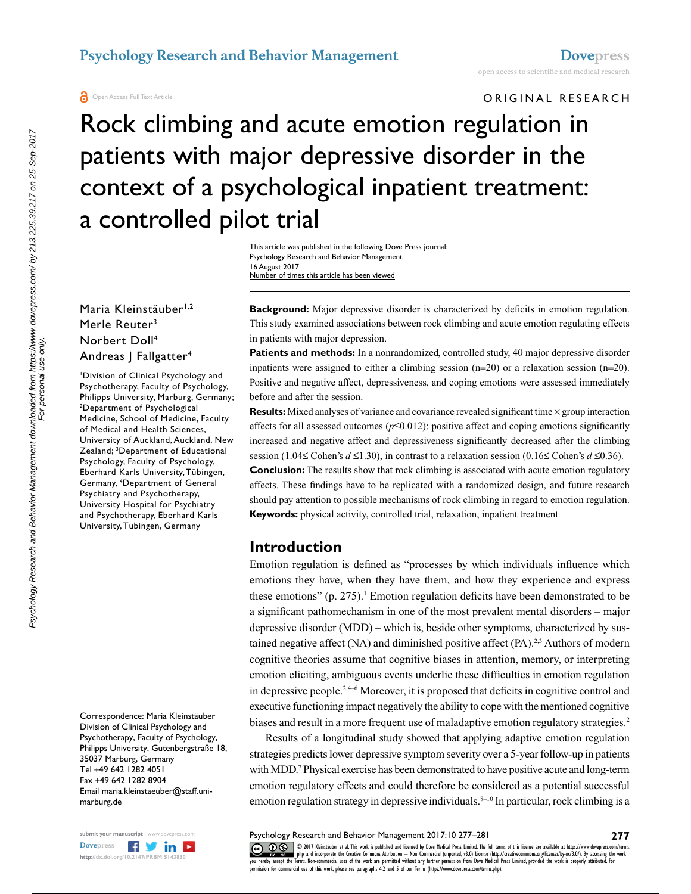ORIGINAL RESEARCH

# Rock climbing and acute emotion regulation in patients with major depressive disorder in the context of a psychological inpatient treatment: a controlled pilot trial

This article was published in the following Dove Press journal: Psychology Research and Behavior Management 16 August 2017 Number of times this article has been viewed

#### Maria Kleinstäuber<sup>1,2</sup> Merle Reuter<sup>3</sup> Norbert Doll4 Andreas | Fallgatter<sup>4</sup>

1 Division of Clinical Psychology and Psychotherapy, Faculty of Psychology, Philipps University, Marburg, Germany; 2 Department of Psychological Medicine, School of Medicine, Faculty of Medical and Health Sciences, University of Auckland, Auckland, New Zealand; 3 Department of Educational Psychology, Faculty of Psychology, Eberhard Karls University, Tübingen, Germany, 4 Department of General Psychiatry and Psychotherapy, University Hospital for Psychiatry and Psychotherapy, Eberhard Karls University, Tübingen, Germany

Correspondence: Maria Kleinstäuber Division of Clinical Psychology and Psychotherapy, Faculty of Psychology, Philipps University, Gutenbergstraße 18, 35037 Marburg, Germany Tel +49 642 1282 4051 Fax +49 642 1282 8904 Email maria.kleinstaeuber@staff.unimarburg.de



**Background:** Major depressive disorder is characterized by deficits in emotion regulation. This study examined associations between rock climbing and acute emotion regulating effects in patients with major depression.

**Patients and methods:** In a nonrandomized, controlled study, 40 major depressive disorder inpatients were assigned to either a climbing session  $(n=20)$  or a relaxation session  $(n=20)$ . Positive and negative affect, depressiveness, and coping emotions were assessed immediately before and after the session.

**Results:** Mixed analyses of variance and covariance revealed significant time  $\times$  group interaction effects for all assessed outcomes (*p*≤0.012): positive affect and coping emotions significantly increased and negative affect and depressiveness significantly decreased after the climbing session (1.04≤ Cohen's  $d \le 1.30$ ), in contrast to a relaxation session (0.16≤ Cohen's  $d \le 0.36$ ).

**Conclusion:** The results show that rock climbing is associated with acute emotion regulatory effects. These findings have to be replicated with a randomized design, and future research should pay attention to possible mechanisms of rock climbing in regard to emotion regulation. **Keywords:** physical activity, controlled trial, relaxation, inpatient treatment

### **Introduction**

Emotion regulation is defined as "processes by which individuals influence which emotions they have, when they have them, and how they experience and express these emotions"  $(p. 275)$ .<sup>1</sup> Emotion regulation deficits have been demonstrated to be a significant pathomechanism in one of the most prevalent mental disorders – major depressive disorder (MDD) – which is, beside other symptoms, characterized by sustained negative affect (NA) and diminished positive affect  $(PA)$ .<sup>2,3</sup> Authors of modern cognitive theories assume that cognitive biases in attention, memory, or interpreting emotion eliciting, ambiguous events underlie these difficulties in emotion regulation in depressive people.2,4–6 Moreover, it is proposed that deficits in cognitive control and executive functioning impact negatively the ability to cope with the mentioned cognitive biases and result in a more frequent use of maladaptive emotion regulatory strategies.<sup>2</sup>

Results of a longitudinal study showed that applying adaptive emotion regulation strategies predicts lower depressive symptom severity over a 5-year follow-up in patients with MDD.7 Physical exercise has been demonstrated to have positive acute and long-term emotion regulatory effects and could therefore be considered as a potential successful emotion regulation strategy in depressive individuals.<sup>8-10</sup> In particular, rock climbing is a

Psychology Research and Behavior Management 2017:10 277–281

CO ODI7 Rieinstäuber et al. This work is published and licensed by Dove Medical Press Limited. The full terms of this license are available at https://www.dovepress.com/terms.<br> [you hereby accept the T](http://www.dovepress.com/permissions.php)erms. Non-commetrial u permission for commercial use of this work, please see paragraphs 4.2 and 5 of our Terms (https://www.dovepress.com/terms.php).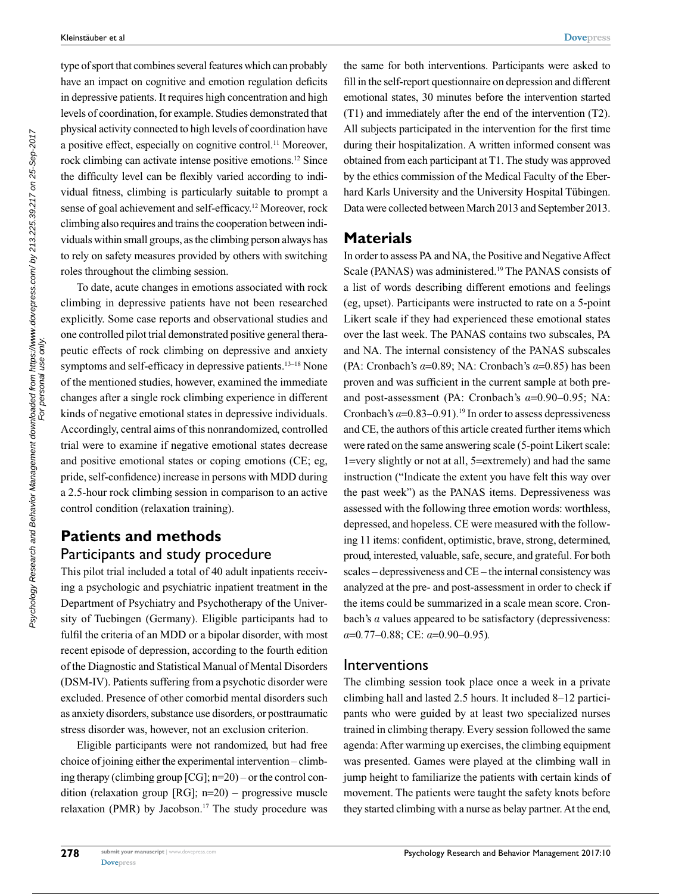type of sport that combines several features which can probably have an impact on cognitive and emotion regulation deficits in depressive patients. It requires high concentration and high levels of coordination, for example. Studies demonstrated that physical activity connected to high levels of coordination have a positive effect, especially on cognitive control.11 Moreover, rock climbing can activate intense positive emotions.12 Since the difficulty level can be flexibly varied according to individual fitness, climbing is particularly suitable to prompt a sense of goal achievement and self-efficacy.12 Moreover, rock climbing also requires and trains the cooperation between individuals within small groups, as the climbing person always has to rely on safety measures provided by others with switching roles throughout the climbing session.

To date, acute changes in emotions associated with rock climbing in depressive patients have not been researched explicitly. Some case reports and observational studies and one controlled pilot trial demonstrated positive general therapeutic effects of rock climbing on depressive and anxiety symptoms and self-efficacy in depressive patients.<sup>13–18</sup> None of the mentioned studies, however, examined the immediate changes after a single rock climbing experience in different kinds of negative emotional states in depressive individuals. Accordingly, central aims of this nonrandomized, controlled trial were to examine if negative emotional states decrease and positive emotional states or coping emotions (CE; eg, pride, self-confidence) increase in persons with MDD during a 2.5-hour rock climbing session in comparison to an active control condition (relaxation training).

## **Patients and methods** Participants and study procedure

This pilot trial included a total of 40 adult inpatients receiving a psychologic and psychiatric inpatient treatment in the Department of Psychiatry and Psychotherapy of the University of Tuebingen (Germany). Eligible participants had to fulfil the criteria of an MDD or a bipolar disorder, with most recent episode of depression, according to the fourth edition of the Diagnostic and Statistical Manual of Mental Disorders (DSM-IV). Patients suffering from a psychotic disorder were excluded. Presence of other comorbid mental disorders such as anxiety disorders, substance use disorders, or posttraumatic stress disorder was, however, not an exclusion criterion.

Eligible participants were not randomized, but had free choice of joining either the experimental intervention – climbing therapy (climbing group [CG]; n=20) – or the control condition (relaxation group [RG]; n=20) – progressive muscle relaxation (PMR) by Jacobson.<sup>17</sup> The study procedure was

the same for both interventions. Participants were asked to fill in the self-report questionnaire on depression and different emotional states, 30 minutes before the intervention started (T1) and immediately after the end of the intervention (T2). All subjects participated in the intervention for the first time during their hospitalization. A written informed consent was obtained from each participant at T1. The study was approved by the ethics commission of the Medical Faculty of the Eberhard Karls University and the University Hospital Tübingen. Data were collected between March 2013 and September 2013.

#### **Materials**

In order to assess PA and NA, the Positive and Negative Affect Scale (PANAS) was administered.<sup>19</sup> The PANAS consists of a list of words describing different emotions and feelings (eg, upset). Participants were instructed to rate on a 5-point Likert scale if they had experienced these emotional states over the last week. The PANAS contains two subscales, PA and NA. The internal consistency of the PANAS subscales (PA: Cronbach's *a*=0.89; NA: Cronbach's *a*=0.85) has been proven and was sufficient in the current sample at both preand post-assessment (PA: Cronbach's *a*=0.90–0.95; NA: Cronbach's  $a=0.83-0.91$ .<sup>19</sup> In order to assess depressiveness and CE, the authors of this article created further items which were rated on the same answering scale (5-point Likert scale: 1=very slightly or not at all, 5=extremely) and had the same instruction ("Indicate the extent you have felt this way over the past week") as the PANAS items. Depressiveness was assessed with the following three emotion words: worthless, depressed, and hopeless. CE were measured with the following 11 items: confident, optimistic, brave, strong, determined, proud, interested, valuable, safe, secure, and grateful. For both scales – depressiveness and CE – the internal consistency was analyzed at the pre- and post-assessment in order to check if the items could be summarized in a scale mean score. Cronbach's *a* values appeared to be satisfactory (depressiveness: *a*=0*.*77–0.88; CE: *a*=0.90–0.95)*.*

#### Interventions

The climbing session took place once a week in a private climbing hall and lasted 2.5 hours. It included 8–12 participants who were guided by at least two specialized nurses trained in climbing therapy. Every session followed the same agenda: After warming up exercises, the climbing equipment was presented. Games were played at the climbing wall in jump height to familiarize the patients with certain kinds of movement. The patients were taught the safety knots before they started climbing with a nurse as belay partner. At the end,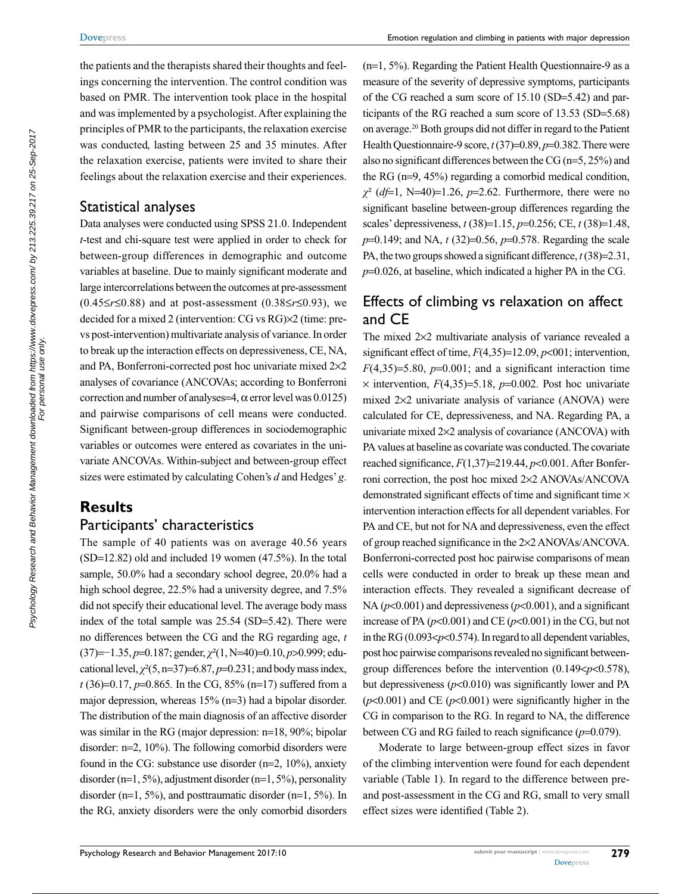the patients and the therapists shared their thoughts and feelings concerning the intervention. The control condition was based on PMR. The intervention took place in the hospital and was implemented by a psychologist. After explaining the principles of PMR to the participants, the relaxation exercise was conducted, lasting between 25 and 35 minutes. After the relaxation exercise, patients were invited to share their feelings about the relaxation exercise and their experiences.

#### Statistical analyses

Data analyses were conducted using SPSS 21.0. Independent *t*-test and chi-square test were applied in order to check for between-group differences in demographic and outcome variables at baseline. Due to mainly significant moderate and large intercorrelations between the outcomes at pre-assessment (0.45≤*r*≤0.88) and at post-assessment (0.38≤*r*≤0.93), we decided for a mixed 2 (intervention: CG vs RG)×2 (time: prevs post-intervention) multivariate analysis of variance. In order to break up the interaction effects on depressiveness, CE, NA, and PA, Bonferroni-corrected post hoc univariate mixed 2×2 analyses of covariance (ANCOVAs; according to Bonferroni correction and number of analyses=4,  $\alpha$  error level was 0.0125) and pairwise comparisons of cell means were conducted. Significant between-group differences in sociodemographic variables or outcomes were entered as covariates in the univariate ANCOVAs. Within-subject and between-group effect sizes were estimated by calculating Cohen's *d* and Hedges' *g*.

## **Results**

### Participants' characteristics

The sample of 40 patients was on average 40.56 years (SD=12.82) old and included 19 women (47.5%). In the total sample, 50.0% had a secondary school degree, 20.0% had a high school degree, 22.5% had a university degree, and 7.5% did not specify their educational level. The average body mass index of the total sample was 25.54 (SD=5.42). There were no differences between the CG and the RG regarding age, *t*  (37)=−1.35, *p*=0.187; gender, *c*²(1, N=40)=0.10, *p*>0.999; educational level,  $\chi^2(5, n=37) = 6.87, p=0.231$ ; and body mass index, *t* (36)=0.17, *p*=0.865*.* In the CG, 85% (n=17) suffered from a major depression, whereas 15% (n=3) had a bipolar disorder. The distribution of the main diagnosis of an affective disorder was similar in the RG (major depression: n=18, 90%; bipolar disorder: n=2, 10%). The following comorbid disorders were found in the CG: substance use disorder (n=2, 10%), anxiety disorder (n=1, 5%), adjustment disorder (n=1, 5%), personality disorder ( $n=1, 5\%$ ), and posttraumatic disorder ( $n=1, 5\%$ ). In the RG, anxiety disorders were the only comorbid disorders

(n=1, 5%). Regarding the Patient Health Questionnaire-9 as a measure of the severity of depressive symptoms, participants of the CG reached a sum score of 15.10 (SD=5.42) and participants of the RG reached a sum score of 13.53 (SD=5.68) on average.20 Both groups did not differ in regard to the Patient Health Questionnaire-9 score, *t* (37)=0.89, *p*=0.382. There were also no significant differences between the CG (n=5, 25%) and the RG (n=9, 45%) regarding a comorbid medical condition,  $\chi^2$  (*df*=1, N=40)=1.26, *p*=2.62. Furthermore, there were no significant baseline between-group differences regarding the scales' depressiveness, *t* (38)=1.15, *p*=0.256; CE, *t* (38)=1.48, *p*=0.149; and NA, *t* (32)=0.56, *p*=0.578. Regarding the scale PA, the two groups showed a significant difference, *t* (38)=2.31, *p*=0.026, at baseline, which indicated a higher PA in the CG.

# Effects of climbing vs relaxation on affect and CE

The mixed 2×2 multivariate analysis of variance revealed a significant effect of time, *F*(4,35)=12.09, *p*<001; intervention,  $F(4,35)=5.80, p=0.001$ ; and a significant interaction time  $\times$  intervention,  $F(4,35)=5.18$ ,  $p=0.002$ . Post hoc univariate mixed 2×2 univariate analysis of variance (ANOVA) were calculated for CE, depressiveness, and NA. Regarding PA, a univariate mixed 2×2 analysis of covariance (ANCOVA) with PA values at baseline as covariate was conducted. The covariate reached significance, *F*(1,37)=219.44, *p*<0.001. After Bonferroni correction, the post hoc mixed 2×2 ANOVAs/ANCOVA demonstrated significant effects of time and significant time  $\times$ intervention interaction effects for all dependent variables. For PA and CE, but not for NA and depressiveness, even the effect of group reached significance in the 2×2 ANOVAs/ANCOVA. Bonferroni-corrected post hoc pairwise comparisons of mean cells were conducted in order to break up these mean and interaction effects. They revealed a significant decrease of NA ( $p<0.001$ ) and depressiveness ( $p<0.001$ ), and a significant increase of PA  $(p<0.001)$  and CE  $(p<0.001)$  in the CG, but not in the RG (0.093<*p*<0.574). In regard to all dependent variables, post hoc pairwise comparisons revealed no significant betweengroup differences before the intervention (0.149<*p*<0.578), but depressiveness  $(p<0.010)$  was significantly lower and PA  $(p<0.001)$  and CE  $(p<0.001)$  were significantly higher in the CG in comparison to the RG. In regard to NA, the difference between CG and RG failed to reach significance (*p*=0.079).

Moderate to large between-group effect sizes in favor of the climbing intervention were found for each dependent variable (Table 1). In regard to the difference between preand post-assessment in the CG and RG, small to very small effect sizes were identified (Table 2).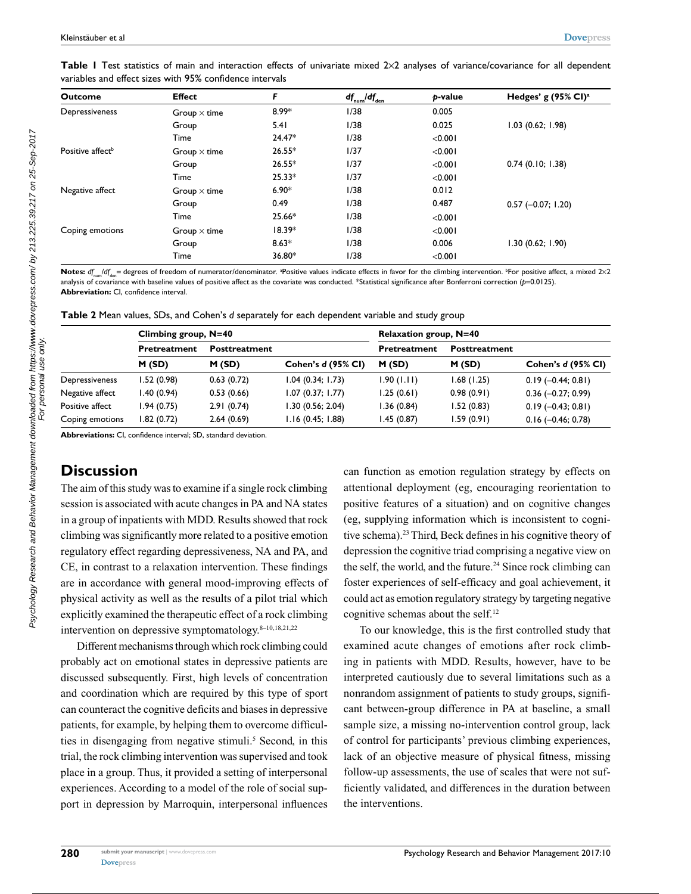| <b>Outcome</b>               | <b>Effect</b>       | F        | $df_{num}/df_{den}$ | p-value | Hedges' g $(95\% \text{ Cl})^{\text{a}}$ |
|------------------------------|---------------------|----------|---------------------|---------|------------------------------------------|
| Depressiveness               | Group $\times$ time | 8.99*    | 1/38                | 0.005   |                                          |
|                              | Group               | 5.41     | 1/38                | 0.025   | 1.03(0.62; 1.98)                         |
|                              | Time                | $24.47*$ | 1/38                | < 0.001 |                                          |
| Positive affect <sup>b</sup> | Group $\times$ time | $26.55*$ | 1/37                | < 0.001 |                                          |
|                              | Group               | $26.55*$ | 1/37                | < 0.001 | 0.74(0.10; 1.38)                         |
|                              | Time                | $25.33*$ | 1/37                | < 0.001 |                                          |
| Negative affect              | Group $\times$ time | $6.90*$  | 1/38                | 0.012   |                                          |
|                              | Group               | 0.49     | 1/38                | 0.487   | $0.57$ (-0.07; 1.20)                     |
|                              | Time                | 25.66*   | 1/38                | < 0.001 |                                          |
| Coping emotions              | Group $\times$ time | $18.39*$ | 1/38                | < 0.001 |                                          |
|                              | Group               | $8.63*$  | 1/38                | 0.006   | 1.30(0.62; 1.90)                         |
|                              | Time                | 36.80*   | 1/38                | < 0.001 |                                          |

Table I Test statistics of main and interaction effects of univariate mixed 2×2 analyses of variance/covariance for all dependent variables and effect sizes with 95% confidence intervals

 ${\sf Notes:}\; d_{f_{\sf num}}/d_{f_{\sf den}}=$  degrees of freedom of numerator/denominator. <sup>a</sup>Positive values indicate effects in favor for the climbing intervention. <sup>b</sup>For positive affect, a mixed 2×2 analysis of covariance with baseline values of positive affect as the covariate was conducted. \*Statistical significance after Bonferroni correction (p=0.0125). **Abbreviation:** CI, confidence interval.

**Table 2** Mean values, SDs, and Cohen's *d* separately for each dependent variable and study group

|                 | Climbing group, $N=40$ |                      |                           | Relaxation group, $N=40$ |                      |                      |  |
|-----------------|------------------------|----------------------|---------------------------|--------------------------|----------------------|----------------------|--|
|                 | <b>Pretreatment</b>    | <b>Posttreatment</b> |                           | <b>Pretreatment</b>      | <b>Posttreatment</b> |                      |  |
|                 | M(SD)                  | M(SD)                | <b>Cohen's d (95% CI)</b> | M(SD)                    | M(SD)                | Cohen's d (95% CI)   |  |
| Depressiveness  | 1.52(0.98)             | 0.63(0.72)           | 1.04 (0.34; 1.73)         | 1.90(1.11)               | 1.68(1.25)           | $0.19(-0.44; 0.81)$  |  |
| Negative affect | 1.40(0.94)             | 0.53(0.66)           | 1.07(0.37; 1.77)          | 1.25(0.61)               | 0.98(0.91)           | $0.36$ (-0.27; 0.99) |  |
| Positive affect | I.94 (0.75)            | 2.91(0.74)           | 1.30 (0.56; 2.04)         | 1.36(0.84)               | 1.52(0.83)           | $0.19(-0.43; 0.81)$  |  |
| Coping emotions | 1.82 (0.72)            | 2.64(0.69)           | 1.16(0.45; 1.88)          | I.45 (0.87)              | 1.59(0.91)           | $0.16$ (-0.46; 0.78) |  |

**Abbreviations:** CI, confidence interval; SD, standard deviation.

## **Discussion**

The aim of this study was to examine if a single rock climbing session is associated with acute changes in PA and NA states in a group of inpatients with MDD. Results showed that rock climbing was significantly more related to a positive emotion regulatory effect regarding depressiveness, NA and PA, and CE, in contrast to a relaxation intervention. These findings are in accordance with general mood-improving effects of physical activity as well as the results of a pilot trial which explicitly examined the therapeutic effect of a rock climbing intervention on depressive symptomatology. $8-10,18,21,22$ 

Different mechanisms through which rock climbing could probably act on emotional states in depressive patients are discussed subsequently. First, high levels of concentration and coordination which are required by this type of sport can counteract the cognitive deficits and biases in depressive patients, for example, by helping them to overcome difficulties in disengaging from negative stimuli.<sup>5</sup> Second, in this trial, the rock climbing intervention was supervised and took place in a group. Thus, it provided a setting of interpersonal experiences. According to a model of the role of social support in depression by Marroquin, interpersonal influences

can function as emotion regulation strategy by effects on attentional deployment (eg, encouraging reorientation to positive features of a situation) and on cognitive changes (eg, supplying information which is inconsistent to cognitive schema).23 Third, Beck defines in his cognitive theory of depression the cognitive triad comprising a negative view on the self, the world, and the future.<sup>24</sup> Since rock climbing can foster experiences of self-efficacy and goal achievement, it could act as emotion regulatory strategy by targeting negative cognitive schemas about the self.12

To our knowledge, this is the first controlled study that examined acute changes of emotions after rock climbing in patients with MDD. Results, however, have to be interpreted cautiously due to several limitations such as a nonrandom assignment of patients to study groups, significant between-group difference in PA at baseline, a small sample size, a missing no-intervention control group, lack of control for participants' previous climbing experiences, lack of an objective measure of physical fitness, missing follow-up assessments, the use of scales that were not sufficiently validated, and differences in the duration between the interventions.

**280**